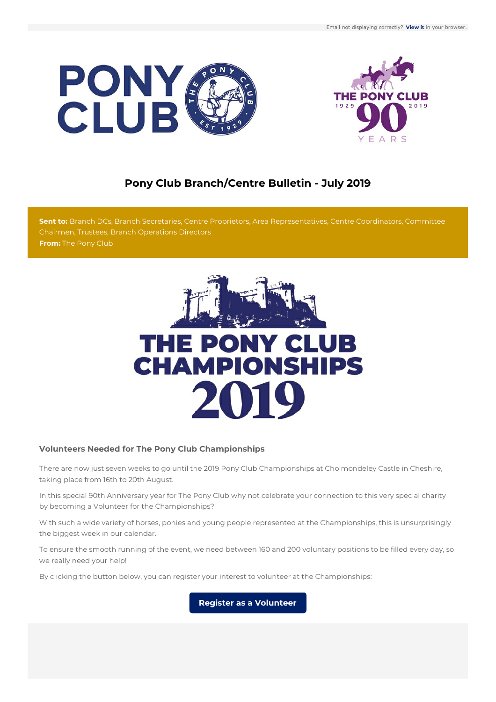



# **Pony Club Branch/Centre Bulletin - July 2019**

**Sent to:** Branch DCs, Branch Secretaries, Centre Proprietors, Area Representatives, Centre Coordinators, Committee Chairmen, Trustees, Branch Operations Directors **From:** The Pony Club



# **Volunteers Needed for The Pony Club Championships**

There are now just seven weeks to go until the 2019 Pony Club Championships at Cholmondeley Castle in Cheshire, taking place from 16th to 20th August.

In this special 90th Anniversary year for The Pony Club why not celebrate your connection to this very special charity by becoming a Volunteer for the Championships?

With such a wide variety of horses, ponies and young people represented at the Championships, this is unsurprisingly the biggest week in our calendar.

To ensure the smooth running of the event, we need between 160 and 200 voluntary positions to be filled every day, so we really need your help!

By clicking the button below, you can register your interest to volunteer at the Championships:

**Register as a [Volunteer](https://volunteer.pcuk.org)**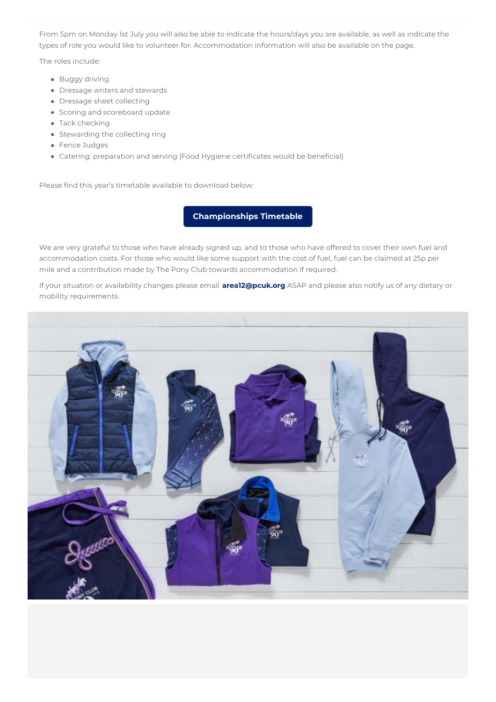From 5pm on Monday 1st July you will also be able to indicate the hours/days you are available, as well as indicate the types of role you would like to volunteer for. Accommodation information will also be available on the page.

The roles include:

- Buggy driving
- Dressage writers and stewards
- Dressage sheet collecting
- Scoring and scoreboard update
- Tack checking
- Stewarding the collecting ring
- Fence Judges
- Catering: preparation and serving (Food Hygiene certificates would be beneficial)

Please find this year's timetable available to download below:

# **[Championships](http://www.pcuk.org/uploads/activities/Championships-Timetable-2019.pdf) Timetable**

We are very grateful to those who have already signed up, and to those who have offered to cover their own fuel and accommodation costs. For those who would like some support with the cost of fuel, fuel can be claimed at 25p per mile and a contribution made by The Pony Club towards accommodation if required.

If your situation or availability changes please email **[area12@pcuk.org](mailto:area12@pcuk.org)** ASAP and please also notify us of any dietary or mobility requirements.

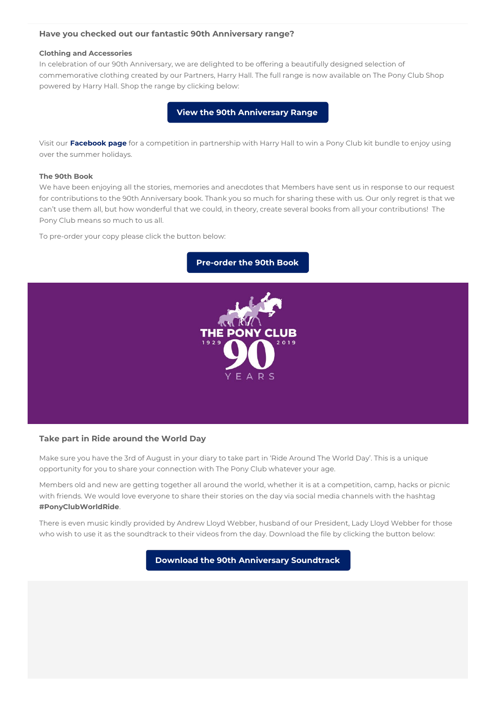## <span id="page-2-0"></span>**Have you checked out our fantastic 90th Anniversary range?**

#### **Clothing and Accessories**

In celebration of our 90th Anniversary, we are delighted to be offering a beautifully designed selection of commemorative clothing created by our Partners, Harry Hall. The full range is now available on The Pony Club Shop powered by Harry Hall. Shop the range by clicking below:

**View the 90th [Anniversary](https://bit.ly/PCUKShop_HarryHall) Range**

Visit our **[Facebook](https://www.facebook.com/ThePonyClubUK) page** for a competition in partnership with Harry Hall to win a Pony Club kit bundle to enjoy using over the summer holidays.

#### **The 90th Book**

We have been enjoying all the stories, memories and anecdotes that Members have sent us in response to our request for contributions to the 90th Anniversary book. Thank you so much for sharing these with us. Our only regret is that we can't use them all, but how wonderful that we could, in theory, create several books from all your contributions! The Pony Club means so much to us all.

To pre-order your copy please click the button below:





# **Take part in Ride around the World Day**

Make sure you have the 3rd of August in your diary to take part in 'Ride Around The World Day'. This is a unique opportunity for you to share your connection with The Pony Club whatever your age.

Members old and new are getting together all around the world, whether it is at a competition, camp, hacks or picnic with friends. We would love everyone to share their stories on the day via social media channels with the hashtag **#PonyClubWorldRide**.

There is even music kindly provided by Andrew Lloyd Webber, husband of our President, Lady Lloyd Webber for those who wish to use it as the soundtrack to their videos from the day. Download the file by clicking the button below:

**Download the 90th [Anniversary](http://www.pcuk.org/download90.php) Soundtrack**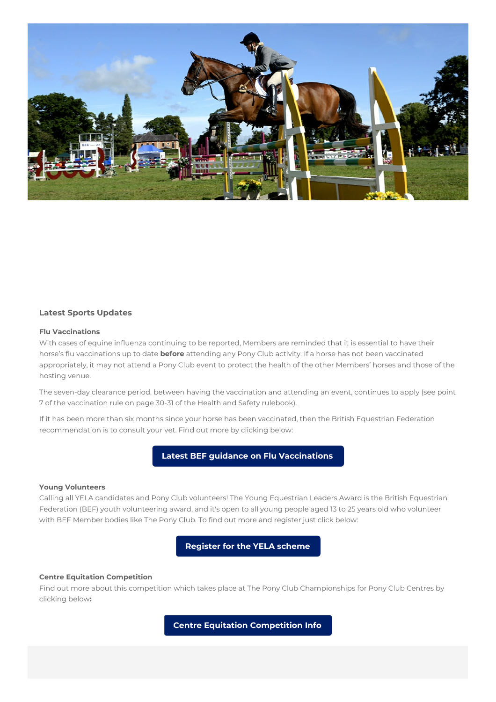

#### **Latest Sports Updates**

#### **Flu Vaccinations**

With cases of equine influenza continuing to be reported, Members are reminded that it is essential to have their horse's flu vaccinations up to date **before** attending any Pony Club activity. If a horse has not been vaccinated appropriately, it may not attend a Pony Club event to protect the health of the other Members' horses and those of the hosting venue.

The seven-day clearance period, between having the vaccination and attending an event, continues to apply (see point 7 of the vaccination rule on page 30-31 of the Health and Safety rulebook).

If it has been more than six months since your horse has been vaccinated, then the British Equestrian Federation recommendation is to consult your vet. Find out more by clicking below:

**Latest BEF guidance on Flu [Vaccinations](https://bef.co.uk/News-Detail.aspx?news=equine-flu-update-vaccination)**

#### **Young Volunteers**

Calling all YELA candidates and Pony Club volunteers! The Young Equestrian Leaders Award is the British Equestrian Federation (BEF) youth volunteering award, and it's open to all young people aged 13 to 25 years old who volunteer with BEF Member bodies like The Pony Club. To find out more and register just click below:

**[Register](http://yela.org.uk) for the YELA scheme**

#### **Centre Equitation Competition**

Find out more about this competition which takes place at The Pony Club Championships for Pony Club Centres by clicking below**:**

**Centre Equitation [Competition](http://www.pcuk.org/index.php/centre_membership/centre_championships/) Info**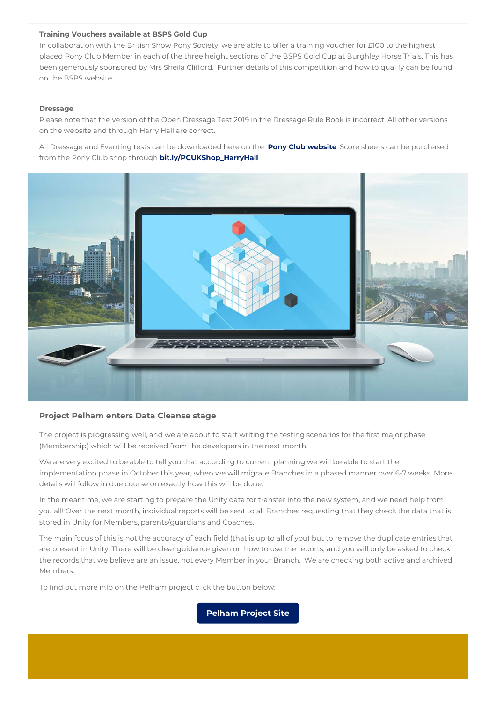## **Training Vouchers available at BSPS Gold Cup**

In collaboration with the British Show Pony Society, we are able to offer a training voucher for £100 to the highest placed Pony Club Member in each of the three height sections of the BSPS Gold Cup at Burghley Horse Trials. This has been generously sponsored by Mrs Sheila Clifford. Further details of this competition and how to qualify can be found on the BSPS website.

## **Dressage**

Please note that the version of the Open Dressage Test 2019 in the Dressage Rule Book is incorrect. All other versions on the website and through Harry Hall are correct.

All Dressage and Eventing tests can be downloaded here on the **Pony Club [website](#page-2-0)**. Score sheets can be purchased from the Pony Club shop through **[bit.ly/PCUKShop\\_HarryHall](http://bit.ly/PCUKShop_HarryHall)**



## **Project Pelham enters Data Cleanse stage**

The project is progressing well, and we are about to start writing the testing scenarios for the first major phase (Membership) which will be received from the developers in the next month.

We are very excited to be able to tell you that according to current planning we will be able to start the implementation phase in October this year, when we will migrate Branches in a phased manner over 6-7 weeks. More details will follow in due course on exactly how this will be done.

In the meantime, we are starting to prepare the Unity data for transfer into the new system, and we need help from you all! Over the next month, individual reports will be sent to all Branches requesting that they check the data that is stored in Unity for Members, parents/guardians and Coaches.

The main focus of this is not the accuracy of each field (that is up to all of you) but to remove the duplicate entries that are present in Unity. There will be clear guidance given on how to use the reports, and you will only be asked to check the records that we believe are an issue, not every Member in your Branch. We are checking both active and archived Members.

To find out more info on the Pelham project click the button below:

**[Pelham](http://pelham.pcuk.org) Project Site**